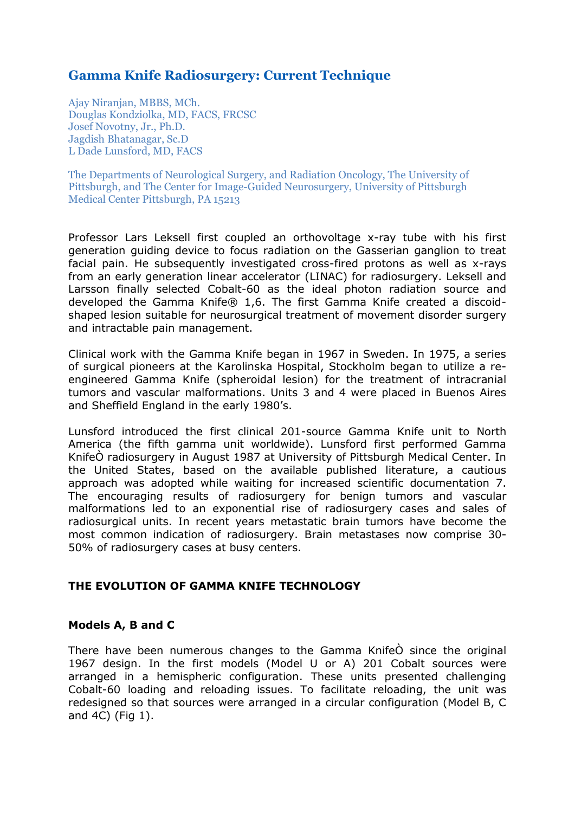# **Gamma Knife Radiosurgery: Current Technique**

Ajay Niranjan, MBBS, MCh. Douglas Kondziolka, MD, FACS, FRCSC Josef Novotny, Jr., Ph.D. Jagdish Bhatanagar, Sc.D L Dade Lunsford, MD, FACS

The Departments of Neurological Surgery, and Radiation Oncology, The University of Pittsburgh, and The Center for Image-Guided Neurosurgery, University of Pittsburgh Medical Center Pittsburgh, PA 15213

Professor Lars Leksell first coupled an orthovoltage x-ray tube with his first generation guiding device to focus radiation on the Gasserian ganglion to treat facial pain. He subsequently investigated cross-fired protons as well as x-rays from an early generation linear accelerator (LINAC) for radiosurgery. Leksell and Larsson finally selected Cobalt-60 as the ideal photon radiation source and developed the Gamma Knife® 1,6. The first Gamma Knife created a discoidshaped lesion suitable for neurosurgical treatment of movement disorder surgery and intractable pain management.

Clinical work with the Gamma Knife began in 1967 in Sweden. In 1975, a series of surgical pioneers at the Karolinska Hospital, Stockholm began to utilize a reengineered Gamma Knife (spheroidal lesion) for the treatment of intracranial tumors and vascular malformations. Units 3 and 4 were placed in Buenos Aires and Sheffield England in the early 1980's.

Lunsford introduced the first clinical 201-source Gamma Knife unit to North America (the fifth gamma unit worldwide). Lunsford first performed Gamma KnifeÒ radiosurgery in August 1987 at University of Pittsburgh Medical Center. In the United States, based on the available published literature, a cautious approach was adopted while waiting for increased scientific documentation 7. The encouraging results of radiosurgery for benign tumors and vascular malformations led to an exponential rise of radiosurgery cases and sales of radiosurgical units. In recent years metastatic brain tumors have become the most common indication of radiosurgery. Brain metastases now comprise 30- 50% of radiosurgery cases at busy centers.

## **THE EVOLUTION OF GAMMA KNIFE TECHNOLOGY**

#### **Models A, B and C**

There have been numerous changes to the Gamma KnifeÒ since the original 1967 design. In the first models (Model U or A) 201 Cobalt sources were arranged in a hemispheric configuration. These units presented challenging Cobalt-60 loading and reloading issues. To facilitate reloading, the unit was redesigned so that sources were arranged in a circular configuration (Model B, C and 4C) (Fig 1).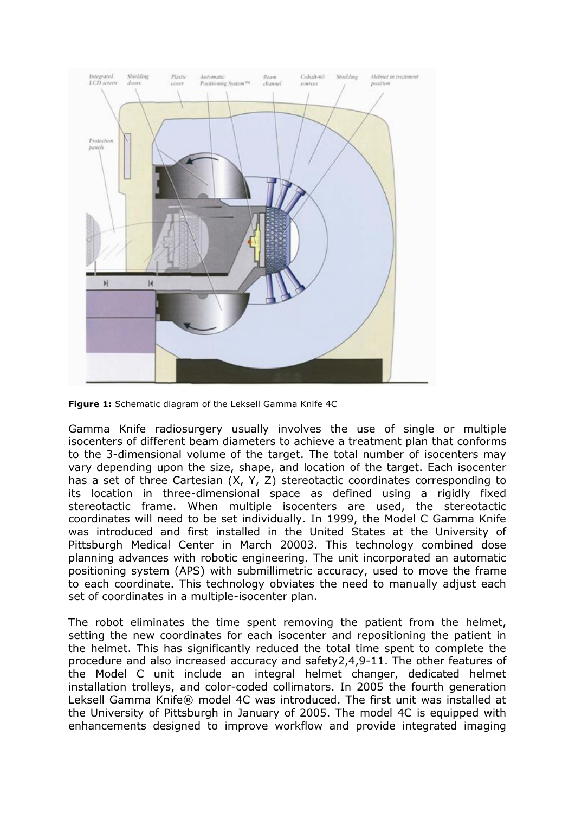

**Figure 1:** Schematic diagram of the Leksell Gamma Knife 4C

Gamma Knife radiosurgery usually involves the use of single or multiple isocenters of different beam diameters to achieve a treatment plan that conforms to the 3-dimensional volume of the target. The total number of isocenters may vary depending upon the size, shape, and location of the target. Each isocenter has a set of three Cartesian (X, Y, Z) stereotactic coordinates corresponding to its location in three-dimensional space as defined using a rigidly fixed stereotactic frame. When multiple isocenters are used, the stereotactic coordinates will need to be set individually. In 1999, the Model C Gamma Knife was introduced and first installed in the United States at the University of Pittsburgh Medical Center in March 20003. This technology combined dose planning advances with robotic engineering. The unit incorporated an automatic positioning system (APS) with submillimetric accuracy, used to move the frame to each coordinate. This technology obviates the need to manually adjust each set of coordinates in a multiple-isocenter plan.

The robot eliminates the time spent removing the patient from the helmet, setting the new coordinates for each isocenter and repositioning the patient in the helmet. This has significantly reduced the total time spent to complete the procedure and also increased accuracy and safety2,4,9-11. The other features of the Model C unit include an integral helmet changer, dedicated helmet installation trolleys, and color-coded collimators. In 2005 the fourth generation Leksell Gamma Knife® model 4C was introduced. The first unit was installed at the University of Pittsburgh in January of 2005. The model 4C is equipped with enhancements designed to improve workflow and provide integrated imaging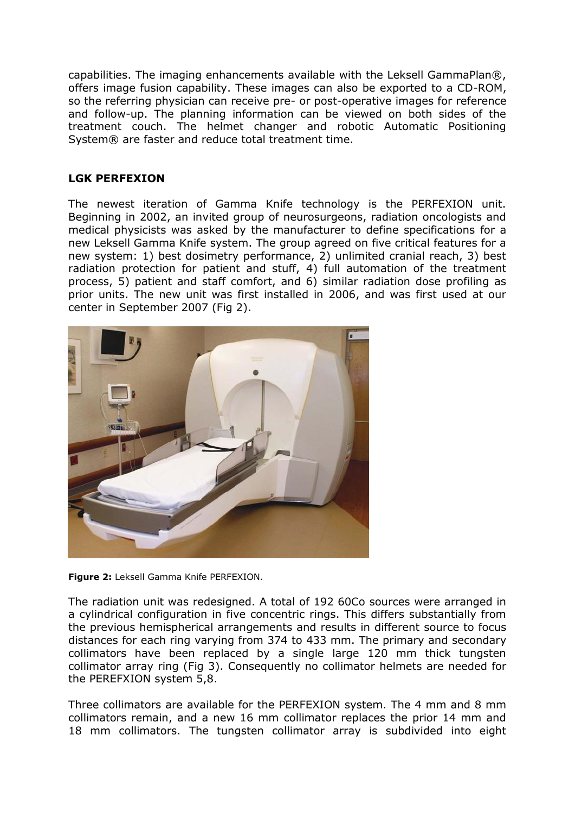capabilities. The imaging enhancements available with the Leksell GammaPlan®, offers image fusion capability. These images can also be exported to a CD-ROM, so the referring physician can receive pre- or post-operative images for reference and follow-up. The planning information can be viewed on both sides of the treatment couch. The helmet changer and robotic Automatic Positioning System® are faster and reduce total treatment time.

### **LGK PERFEXION**

The newest iteration of Gamma Knife technology is the PERFEXION unit. Beginning in 2002, an invited group of neurosurgeons, radiation oncologists and medical physicists was asked by the manufacturer to define specifications for a new Leksell Gamma Knife system. The group agreed on five critical features for a new system: 1) best dosimetry performance, 2) unlimited cranial reach, 3) best radiation protection for patient and stuff, 4) full automation of the treatment process, 5) patient and staff comfort, and 6) similar radiation dose profiling as prior units. The new unit was first installed in 2006, and was first used at our center in September 2007 (Fig 2).



**Figure 2:** Leksell Gamma Knife PERFEXION.

The radiation unit was redesigned. A total of 192 60Co sources were arranged in a cylindrical configuration in five concentric rings. This differs substantially from the previous hemispherical arrangements and results in different source to focus distances for each ring varying from 374 to 433 mm. The primary and secondary collimators have been replaced by a single large 120 mm thick tungsten collimator array ring (Fig 3). Consequently no collimator helmets are needed for the PEREFXION system 5,8.

Three collimators are available for the PERFEXION system. The 4 mm and 8 mm collimators remain, and a new 16 mm collimator replaces the prior 14 mm and 18 mm collimators. The tungsten collimator array is subdivided into eight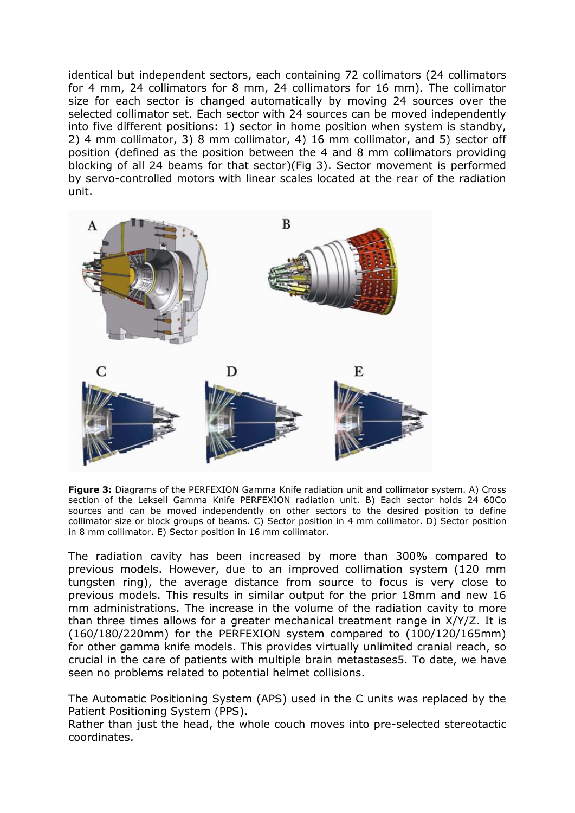identical but independent sectors, each containing 72 collimators (24 collimators for 4 mm, 24 collimators for 8 mm, 24 collimators for 16 mm). The collimator size for each sector is changed automatically by moving 24 sources over the selected collimator set. Each sector with 24 sources can be moved independently into five different positions: 1) sector in home position when system is standby, 2) 4 mm collimator, 3) 8 mm collimator, 4) 16 mm collimator, and 5) sector off position (defined as the position between the 4 and 8 mm collimators providing blocking of all 24 beams for that sector)(Fig 3). Sector movement is performed by servo-controlled motors with linear scales located at the rear of the radiation unit.



**Figure 3:** Diagrams of the PERFEXION Gamma Knife radiation unit and collimator system. A) Cross section of the Leksell Gamma Knife PERFEXION radiation unit. B) Each sector holds 24 60Co sources and can be moved independently on other sectors to the desired position to define collimator size or block groups of beams. C) Sector position in 4 mm collimator. D) Sector position in 8 mm collimator. E) Sector position in 16 mm collimator.

The radiation cavity has been increased by more than 300% compared to previous models. However, due to an improved collimation system (120 mm tungsten ring), the average distance from source to focus is very close to previous models. This results in similar output for the prior 18mm and new 16 mm administrations. The increase in the volume of the radiation cavity to more than three times allows for a greater mechanical treatment range in X/Y/Z. It is (160/180/220mm) for the PERFEXION system compared to (100/120/165mm) for other gamma knife models. This provides virtually unlimited cranial reach, so crucial in the care of patients with multiple brain metastases5. To date, we have seen no problems related to potential helmet collisions.

The Automatic Positioning System (APS) used in the C units was replaced by the Patient Positioning System (PPS).

Rather than just the head, the whole couch moves into pre-selected stereotactic coordinates.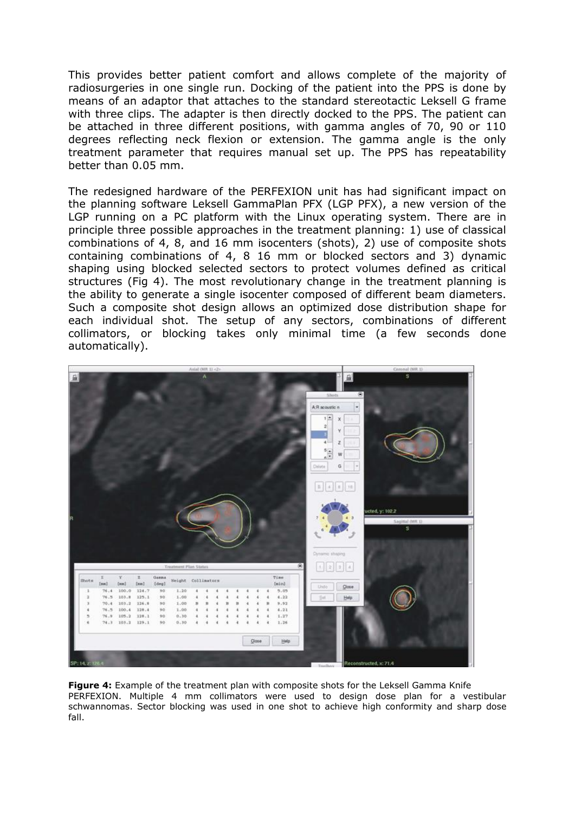This provides better patient comfort and allows complete of the majority of radiosurgeries in one single run. Docking of the patient into the PPS is done by means of an adaptor that attaches to the standard stereotactic Leksell G frame with three clips. The adapter is then directly docked to the PPS. The patient can be attached in three different positions, with gamma angles of 70, 90 or 110 degrees reflecting neck flexion or extension. The gamma angle is the only treatment parameter that requires manual set up. The PPS has repeatability better than 0.05 mm.

The redesigned hardware of the PERFEXION unit has had significant impact on the planning software Leksell GammaPlan PFX (LGP PFX), a new version of the LGP running on a PC platform with the Linux operating system. There are in principle three possible approaches in the treatment planning: 1) use of classical combinations of 4, 8, and 16 mm isocenters (shots), 2) use of composite shots containing combinations of 4, 8 16 mm or blocked sectors and 3) dynamic shaping using blocked selected sectors to protect volumes defined as critical structures (Fig 4). The most revolutionary change in the treatment planning is the ability to generate a single isocenter composed of different beam diameters. Such a composite shot design allows an optimized dose distribution shape for each individual shot. The setup of any sectors, combinations of different collimators, or blocking takes only minimal time (a few seconds done automatically).



**Figure 4:** Example of the treatment plan with composite shots for the Leksell Gamma Knife PERFEXION. Multiple 4 mm collimators were used to design dose plan for a vestibular schwannomas. Sector blocking was used in one shot to achieve high conformity and sharp dose fall.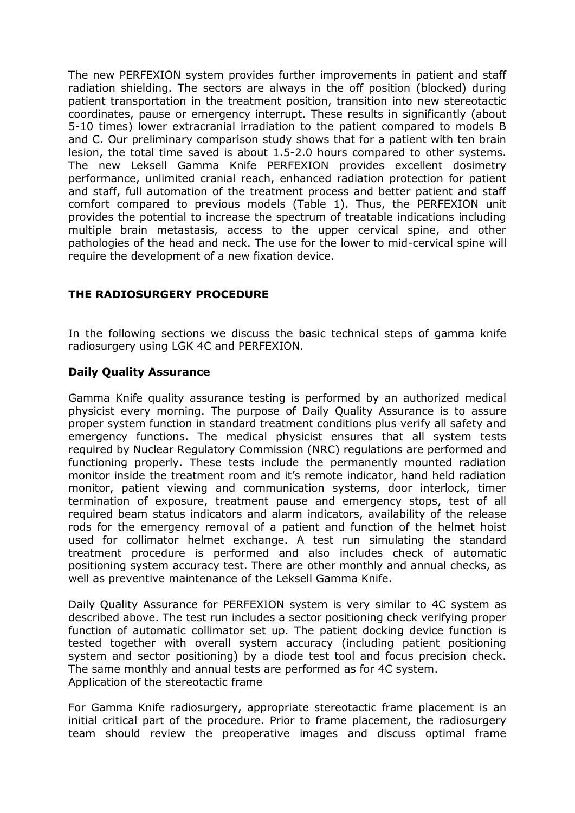The new PERFEXION system provides further improvements in patient and staff radiation shielding. The sectors are always in the off position (blocked) during patient transportation in the treatment position, transition into new stereotactic coordinates, pause or emergency interrupt. These results in significantly (about 5-10 times) lower extracranial irradiation to the patient compared to models B and C. Our preliminary comparison study shows that for a patient with ten brain lesion, the total time saved is about 1.5-2.0 hours compared to other systems. The new Leksell Gamma Knife PERFEXION provides excellent dosimetry performance, unlimited cranial reach, enhanced radiation protection for patient and staff, full automation of the treatment process and better patient and staff comfort compared to previous models (Table 1). Thus, the PERFEXION unit provides the potential to increase the spectrum of treatable indications including multiple brain metastasis, access to the upper cervical spine, and other pathologies of the head and neck. The use for the lower to mid-cervical spine will require the development of a new fixation device.

# **THE RADIOSURGERY PROCEDURE**

In the following sections we discuss the basic technical steps of gamma knife radiosurgery using LGK 4C and PERFEXION.

# **Daily Quality Assurance**

Gamma Knife quality assurance testing is performed by an authorized medical physicist every morning. The purpose of Daily Quality Assurance is to assure proper system function in standard treatment conditions plus verify all safety and emergency functions. The medical physicist ensures that all system tests required by Nuclear Regulatory Commission (NRC) regulations are performed and functioning properly. These tests include the permanently mounted radiation monitor inside the treatment room and it's remote indicator, hand held radiation monitor, patient viewing and communication systems, door interlock, timer termination of exposure, treatment pause and emergency stops, test of all required beam status indicators and alarm indicators, availability of the release rods for the emergency removal of a patient and function of the helmet hoist used for collimator helmet exchange. A test run simulating the standard treatment procedure is performed and also includes check of automatic positioning system accuracy test. There are other monthly and annual checks, as well as preventive maintenance of the Leksell Gamma Knife.

Daily Quality Assurance for PERFEXION system is very similar to 4C system as described above. The test run includes a sector positioning check verifying proper function of automatic collimator set up. The patient docking device function is tested together with overall system accuracy (including patient positioning system and sector positioning) by a diode test tool and focus precision check. The same monthly and annual tests are performed as for 4C system. Application of the stereotactic frame

For Gamma Knife radiosurgery, appropriate stereotactic frame placement is an initial critical part of the procedure. Prior to frame placement, the radiosurgery team should review the preoperative images and discuss optimal frame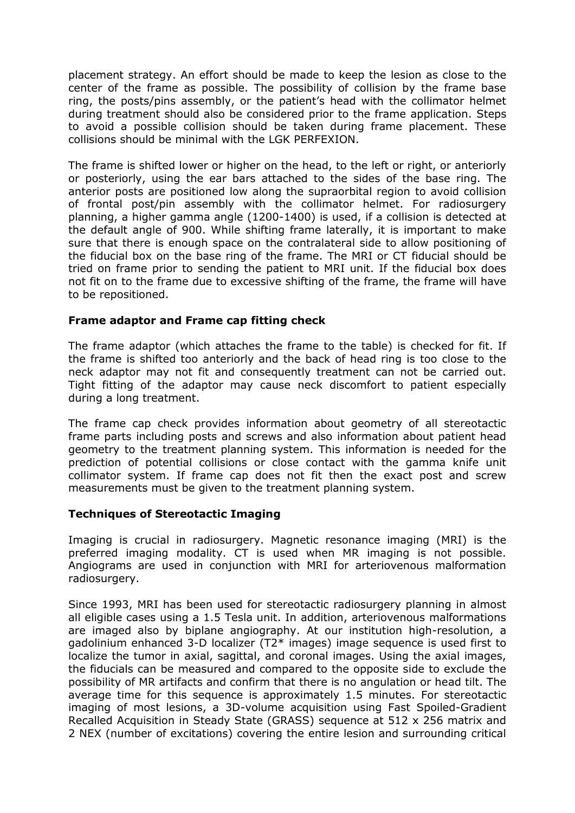placement strategy. An effort should be made to keep the lesion as close to the center of the frame as possible. The possibility of collision by the frame base ring, the posts/pins assembly, or the patient's head with the collimator helmet during treatment should also be considered prior to the frame application. Steps to avoid a possible collision should be taken during frame placement. These collisions should be minimal with the LGK PERFEXION.

The frame is shifted lower or higher on the head, to the left or right, or anteriorly or posteriorly, using the ear bars attached to the sides of the base ring. The anterior posts are positioned low along the supraorbital region to avoid collision of frontal post/pin assembly with the collimator helmet. For radiosurgery planning, a higher gamma angle (1200-1400) is used, if a collision is detected at the default angle of 900. While shifting frame laterally, it is important to make sure that there is enough space on the contralateral side to allow positioning of the fiducial box on the base ring of the frame. The MRI or CT fiducial should be tried on frame prior to sending the patient to MRI unit. If the fiducial box does not fit on to the frame due to excessive shifting of the frame, the frame will have to be repositioned.

## **Frame adaptor and Frame cap fitting check**

The frame adaptor (which attaches the frame to the table) is checked for fit. If the frame is shifted too anteriorly and the back of head ring is too close to the neck adaptor may not fit and consequently treatment can not be carried out. Tight fitting of the adaptor may cause neck discomfort to patient especially during a long treatment.

The frame cap check provides information about geometry of all stereotactic frame parts including posts and screws and also information about patient head geometry to the treatment planning system. This information is needed for the prediction of potential collisions or close contact with the gamma knife unit collimator system. If frame cap does not fit then the exact post and screw measurements must be given to the treatment planning system.

#### **Techniques of Stereotactic Imaging**

Imaging is crucial in radiosurgery. Magnetic resonance imaging (MRI) is the preferred imaging modality. CT is used when MR imaging is not possible. Angiograms are used in conjunction with MRI for arteriovenous malformation radiosurgery.

Since 1993, MRI has been used for stereotactic radiosurgery planning in almost all eligible cases using a 1.5 Tesla unit. In addition, arteriovenous malformations are imaged also by biplane angiography. At our institution high-resolution, a gadolinium enhanced 3-D localizer (T2\* images) image sequence is used first to localize the tumor in axial, sagittal, and coronal images. Using the axial images, the fiducials can be measured and compared to the opposite side to exclude the possibility of MR artifacts and confirm that there is no angulation or head tilt. The average time for this sequence is approximately 1.5 minutes. For stereotactic imaging of most lesions, a 3D-volume acquisition using Fast Spoiled-Gradient Recalled Acquisition in Steady State (GRASS) sequence at 512 x 256 matrix and 2 NEX (number of excitations) covering the entire lesion and surrounding critical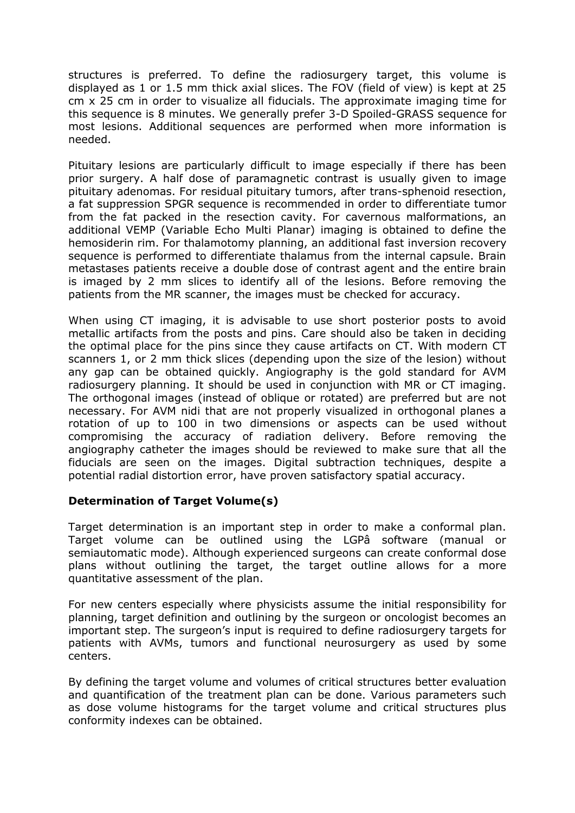structures is preferred. To define the radiosurgery target, this volume is displayed as 1 or 1.5 mm thick axial slices. The FOV (field of view) is kept at 25 cm x 25 cm in order to visualize all fiducials. The approximate imaging time for this sequence is 8 minutes. We generally prefer 3-D Spoiled-GRASS sequence for most lesions. Additional sequences are performed when more information is needed.

Pituitary lesions are particularly difficult to image especially if there has been prior surgery. A half dose of paramagnetic contrast is usually given to image pituitary adenomas. For residual pituitary tumors, after trans-sphenoid resection, a fat suppression SPGR sequence is recommended in order to differentiate tumor from the fat packed in the resection cavity. For cavernous malformations, an additional VEMP (Variable Echo Multi Planar) imaging is obtained to define the hemosiderin rim. For thalamotomy planning, an additional fast inversion recovery sequence is performed to differentiate thalamus from the internal capsule. Brain metastases patients receive a double dose of contrast agent and the entire brain is imaged by 2 mm slices to identify all of the lesions. Before removing the patients from the MR scanner, the images must be checked for accuracy.

When using CT imaging, it is advisable to use short posterior posts to avoid metallic artifacts from the posts and pins. Care should also be taken in deciding the optimal place for the pins since they cause artifacts on CT. With modern CT scanners 1, or 2 mm thick slices (depending upon the size of the lesion) without any gap can be obtained quickly. Angiography is the gold standard for AVM radiosurgery planning. It should be used in conjunction with MR or CT imaging. The orthogonal images (instead of oblique or rotated) are preferred but are not necessary. For AVM nidi that are not properly visualized in orthogonal planes a rotation of up to 100 in two dimensions or aspects can be used without compromising the accuracy of radiation delivery. Before removing the angiography catheter the images should be reviewed to make sure that all the fiducials are seen on the images. Digital subtraction techniques, despite a potential radial distortion error, have proven satisfactory spatial accuracy.

## **Determination of Target Volume(s)**

Target determination is an important step in order to make a conformal plan. Target volume can be outlined using the LGPâ software (manual or semiautomatic mode). Although experienced surgeons can create conformal dose plans without outlining the target, the target outline allows for a more quantitative assessment of the plan.

For new centers especially where physicists assume the initial responsibility for planning, target definition and outlining by the surgeon or oncologist becomes an important step. The surgeon's input is required to define radiosurgery targets for patients with AVMs, tumors and functional neurosurgery as used by some centers.

By defining the target volume and volumes of critical structures better evaluation and quantification of the treatment plan can be done. Various parameters such as dose volume histograms for the target volume and critical structures plus conformity indexes can be obtained.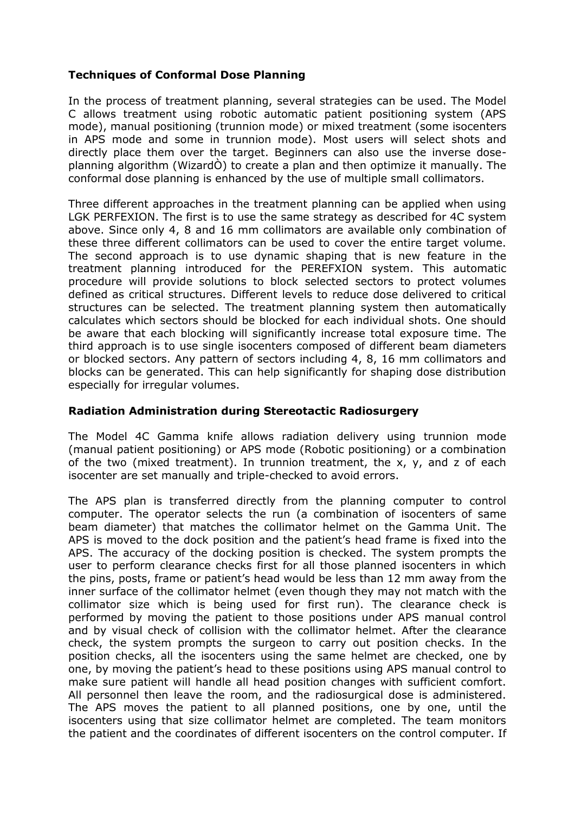# **Techniques of Conformal Dose Planning**

In the process of treatment planning, several strategies can be used. The Model C allows treatment using robotic automatic patient positioning system (APS mode), manual positioning (trunnion mode) or mixed treatment (some isocenters in APS mode and some in trunnion mode). Most users will select shots and directly place them over the target. Beginners can also use the inverse doseplanning algorithm (WizardÒ) to create a plan and then optimize it manually. The conformal dose planning is enhanced by the use of multiple small collimators.

Three different approaches in the treatment planning can be applied when using LGK PERFEXION. The first is to use the same strategy as described for 4C system above. Since only 4, 8 and 16 mm collimators are available only combination of these three different collimators can be used to cover the entire target volume. The second approach is to use dynamic shaping that is new feature in the treatment planning introduced for the PEREFXION system. This automatic procedure will provide solutions to block selected sectors to protect volumes defined as critical structures. Different levels to reduce dose delivered to critical structures can be selected. The treatment planning system then automatically calculates which sectors should be blocked for each individual shots. One should be aware that each blocking will significantly increase total exposure time. The third approach is to use single isocenters composed of different beam diameters or blocked sectors. Any pattern of sectors including 4, 8, 16 mm collimators and blocks can be generated. This can help significantly for shaping dose distribution especially for irregular volumes.

## **Radiation Administration during Stereotactic Radiosurgery**

The Model 4C Gamma knife allows radiation delivery using trunnion mode (manual patient positioning) or APS mode (Robotic positioning) or a combination of the two (mixed treatment). In trunnion treatment, the x, y, and z of each isocenter are set manually and triple-checked to avoid errors.

The APS plan is transferred directly from the planning computer to control computer. The operator selects the run (a combination of isocenters of same beam diameter) that matches the collimator helmet on the Gamma Unit. The APS is moved to the dock position and the patient's head frame is fixed into the APS. The accuracy of the docking position is checked. The system prompts the user to perform clearance checks first for all those planned isocenters in which the pins, posts, frame or patient's head would be less than 12 mm away from the inner surface of the collimator helmet (even though they may not match with the collimator size which is being used for first run). The clearance check is performed by moving the patient to those positions under APS manual control and by visual check of collision with the collimator helmet. After the clearance check, the system prompts the surgeon to carry out position checks. In the position checks, all the isocenters using the same helmet are checked, one by one, by moving the patient's head to these positions using APS manual control to make sure patient will handle all head position changes with sufficient comfort. All personnel then leave the room, and the radiosurgical dose is administered. The APS moves the patient to all planned positions, one by one, until the isocenters using that size collimator helmet are completed. The team monitors the patient and the coordinates of different isocenters on the control computer. If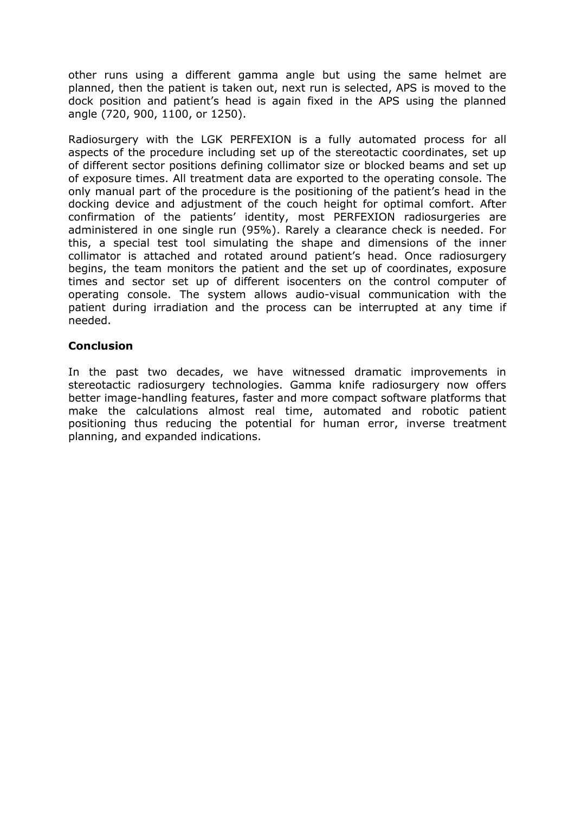other runs using a different gamma angle but using the same helmet are planned, then the patient is taken out, next run is selected, APS is moved to the dock position and patient's head is again fixed in the APS using the planned angle (720, 900, 1100, or 1250).

Radiosurgery with the LGK PERFEXION is a fully automated process for all aspects of the procedure including set up of the stereotactic coordinates, set up of different sector positions defining collimator size or blocked beams and set up of exposure times. All treatment data are exported to the operating console. The only manual part of the procedure is the positioning of the patient's head in the docking device and adjustment of the couch height for optimal comfort. After confirmation of the patients' identity, most PERFEXION radiosurgeries are administered in one single run (95%). Rarely a clearance check is needed. For this, a special test tool simulating the shape and dimensions of the inner collimator is attached and rotated around patient's head. Once radiosurgery begins, the team monitors the patient and the set up of coordinates, exposure times and sector set up of different isocenters on the control computer of operating console. The system allows audio-visual communication with the patient during irradiation and the process can be interrupted at any time if needed.

# **Conclusion**

In the past two decades, we have witnessed dramatic improvements in stereotactic radiosurgery technologies. Gamma knife radiosurgery now offers better image-handling features, faster and more compact software platforms that make the calculations almost real time, automated and robotic patient positioning thus reducing the potential for human error, inverse treatment planning, and expanded indications.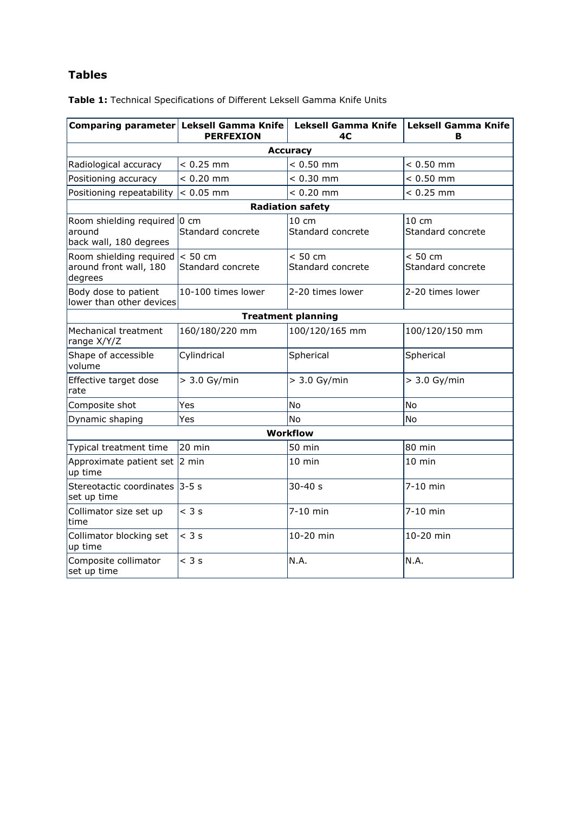# **Tables**

| Comparing parameter Leksell Gamma Knife                           | <b>PERFEXION</b>             | Leksell Gamma Knife<br>4C    | <b>Leksell Gamma Knife</b><br>в |
|-------------------------------------------------------------------|------------------------------|------------------------------|---------------------------------|
| <b>Accuracy</b>                                                   |                              |                              |                                 |
| Radiological accuracy                                             | $< 0.25$ mm                  | $< 0.50$ mm                  | $< 0.50$ mm                     |
| Positioning accuracy                                              | $< 0.20$ mm                  | $< 0.30$ mm                  | $< 0.50$ mm                     |
| Positioning repeatability                                         | $< 0.05$ mm                  | $< 0.20$ mm                  | $< 0.25$ mm                     |
| <b>Radiation safety</b>                                           |                              |                              |                                 |
| Room shielding required 0 cm<br>laround<br>back wall, 180 degrees | Standard concrete            | 10 cm<br>Standard concrete   | 10 cm<br>Standard concrete      |
| Room shielding required<br>around front wall, 180<br>degrees      | < 50 cm<br>Standard concrete | < 50 cm<br>Standard concrete | < 50 cm<br>Standard concrete    |
| Body dose to patient<br>lower than other devices                  | 10-100 times lower           | 2-20 times lower             | 2-20 times lower                |
| <b>Treatment planning</b>                                         |                              |                              |                                 |
| Mechanical treatment<br>range X/Y/Z                               | 160/180/220 mm               | 100/120/165 mm               | 100/120/150 mm                  |
| Shape of accessible<br>volume                                     | Cylindrical                  | Spherical                    | Spherical                       |
| Effective target dose<br>rate                                     | $> 3.0$ Gy/min               | $> 3.0$ Gy/min               | $> 3.0$ Gy/min                  |
| Composite shot                                                    | Yes                          | <b>No</b>                    | <b>No</b>                       |
| Dynamic shaping                                                   | Yes                          | No                           | No                              |
| <b>Workflow</b>                                                   |                              |                              |                                 |
| Typical treatment time                                            | 20 min                       | 50 min                       | 80 min                          |
| Approximate patient set<br>up time                                | 2 min                        | 10 min                       | 10 min                          |
| Stereotactic coordinates<br>set up time                           | $3-5s$                       | $30 - 40s$                   | 7-10 min                        |
| Collimator size set up<br>time                                    | $<$ 3 s                      | 7-10 min                     | 7-10 min                        |
| Collimator blocking set<br>up time                                | $<$ 3 s                      | 10-20 min                    | 10-20 min                       |
| Composite collimator<br>set up time                               | $<$ 3 s                      | N.A.                         | N.A.                            |

**Table 1:** Technical Specifications of Different Leksell Gamma Knife Units